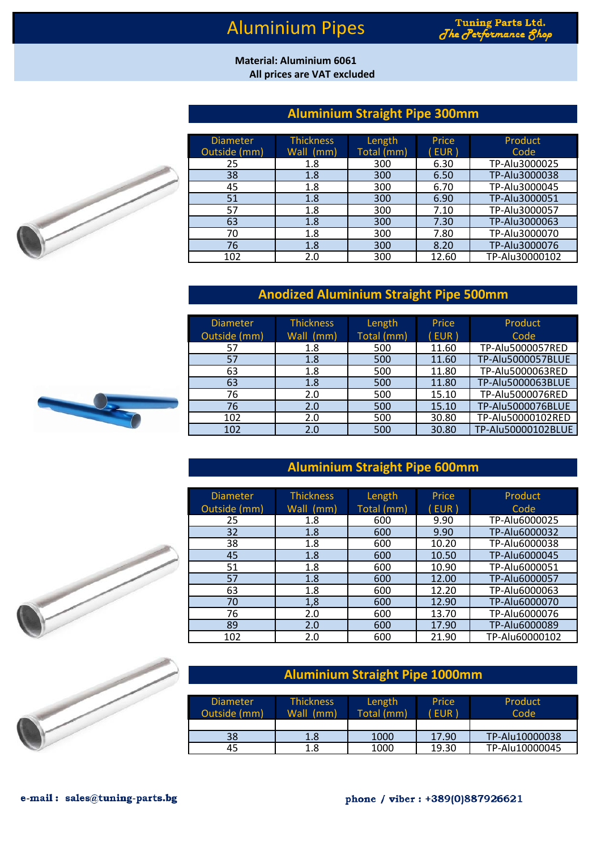# Aluminium Pipes

#### **All prices are VAT excluded Material: Aluminium 6061**

### **Aluminium Straight Pipe 300mm**

| <b>Diameter</b> | <b>Thickness</b> | Length     | Price | Product        |
|-----------------|------------------|------------|-------|----------------|
| Outside (mm)    | Wall (mm)        | Total (mm) | EUR)  | Code           |
| 25              | 1.8              | 300        | 6.30  | TP-Alu3000025  |
| 38              | 1.8              | 300        | 6.50  | TP-Alu3000038  |
| 45              | 1.8              | 300        | 6.70  | TP-Alu3000045  |
| 51              | 1.8              | 300        | 6.90  | TP-Alu3000051  |
| 57              | 1.8              | 300        | 7.10  | TP-Alu3000057  |
| 63              | 1.8              | 300        | 7.30  | TP-Alu3000063  |
| 70              | 1.8              | 300        | 7.80  | TP-Alu3000070  |
| 76              | 1.8              | 300        | 8.20  | TP-Alu3000076  |
| 102             | 2.0              | 300        | 12.60 | TP-Alu30000102 |

### **Anodized Aluminium Straight Pipe 500mm**

| <b>Diameter</b> | <b>Thickness</b> | Length     | Price | Product            |
|-----------------|------------------|------------|-------|--------------------|
| Outside (mm)    | Wall (mm)        | Total (mm) | (EUR) | Code               |
| 57              | 1.8              | 500        | 11.60 | TP-Alu5000057RED   |
| 57              | 1.8              | 500        | 11.60 | TP-Alu5000057BLUE  |
| 63              | 1.8              | 500        | 11.80 | TP-Alu5000063RED   |
| 63              | 1.8              | 500        | 11.80 | TP-Alu5000063BLUE  |
| 76              | 2.0              | 500        | 15.10 | TP-Alu5000076RED   |
| 76              | 2.0              | 500        | 15.10 | TP-Alu5000076BLUE  |
| 102             | 2.0              | 500        | 30.80 | TP-Alu50000102RED  |
| 102             | 2.0              | 500        | 30.80 | TP-Alu50000102BLUE |



| <b>Diameter</b> | <b>Thickness</b> | Length     | Price | Product        |
|-----------------|------------------|------------|-------|----------------|
| Outside (mm)    | Wall (mm)        | Total (mm) | EUR)  | Code           |
| 25              | 1.8              | 600        | 9.90  | TP-Alu6000025  |
| 32              | 1.8              | 600        | 9.90  | TP-Alu6000032  |
| 38              | 1.8              | 600        | 10.20 | TP-Alu6000038  |
| 45              | 1.8              | 600        | 10.50 | TP-Alu6000045  |
| 51              | 1.8              | 600        | 10.90 | TP-Alu6000051  |
| 57              | 1.8              | 600        | 12.00 | TP-Alu6000057  |
| 63              | 1.8              | 600        | 12.20 | TP-Alu6000063  |
| 70              | 1,8              | 600        | 12.90 | TP-Alu6000070  |
| 76              | 2.0              | 600        | 13.70 | TP-Alu6000076  |
| 89              | 2.0              | 600        | 17.90 | TP-Alu6000089  |
| 102             | 2.0              | 600        | 21.90 | TP-Alu60000102 |



## **Aluminium Straight Pipe 1000mm**

| <b>Diameter</b><br>Outside (mm) | <b>Thickness</b><br>Wall (mm) | Length<br>Total (mm) | Price<br>EUR <sup>1</sup> | Product<br>Code |
|---------------------------------|-------------------------------|----------------------|---------------------------|-----------------|
| 38                              | 1.8                           | 1000                 | 17.90                     | TP-Alu10000038  |
| 45                              | 1.8                           | 1000                 | 19.30                     | TP-Alu10000045  |



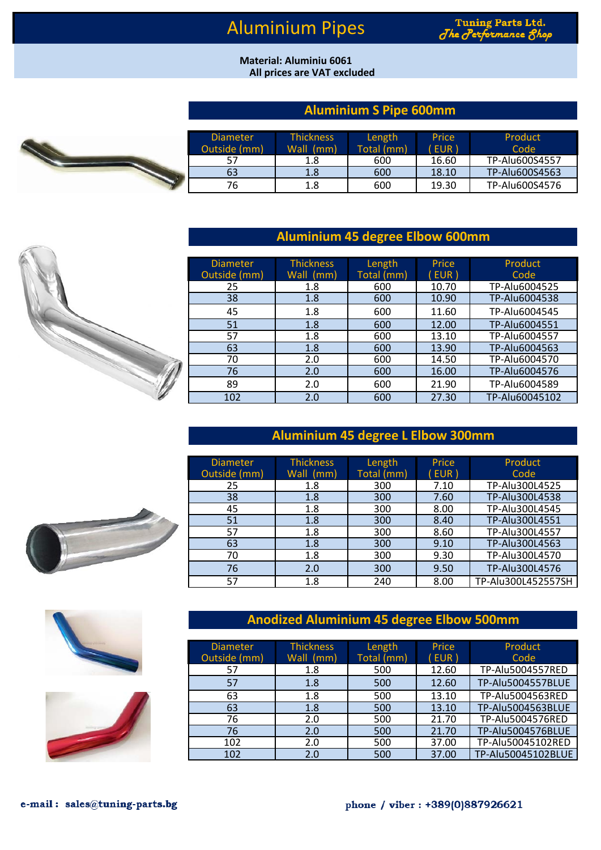# Aluminium Pipes

#### **All prices are VAT excluded Material: Aluminiu 6061**

## **Aluminium S Pipe 600mm**

|  | Diameter.<br>Outside (mm) | <b>Thickness</b><br>Wall (mm) | Length<br>Total (mm) | <b>Price</b><br>(EUR) | Product<br>Code |
|--|---------------------------|-------------------------------|----------------------|-----------------------|-----------------|
|  |                           | 1.8                           | 600                  | 16.60                 | TP-Alu600S4557  |
|  | 63                        | 1.8                           | 600                  | 18.10                 | TP-Alu600S4563  |
|  | 76                        | 1.8                           | 600                  | 19.30                 | TP-Alu600S4576  |

### **Aluminium 45 degree Elbow 600mm**

| <b>Diameter</b> | <b>Thickness</b> | Length     | Price | Product        |
|-----------------|------------------|------------|-------|----------------|
| Outside (mm)    | Wall (mm)        | Total (mm) | EUR)  | Code           |
| 25              | 1.8              | 600        | 10.70 | TP-Alu6004525  |
| 38              | 1.8              | 600        | 10.90 | TP-Alu6004538  |
| 45              | 1.8              | 600        | 11.60 | TP-Alu6004545  |
| 51              | 1.8              | 600        | 12.00 | TP-Alu6004551  |
| 57              | 1.8              | 600        | 13.10 | TP-Alu6004557  |
| 63              | 1.8              | 600        | 13.90 | TP-Alu6004563  |
| 70              | 2.0              | 600        | 14.50 | TP-Alu6004570  |
| 76              | 2.0              | 600        | 16.00 | TP-Alu6004576  |
| 89              | 2.0              | 600        | 21.90 | TP-Alu6004589  |
| 102             | 2.0              | 600        | 27.30 | TP-Alu60045102 |

#### **Aluminium 45 degree L Elbow 300mm**

| <b>Diameter</b> | <b>Thickness</b> | Length     | Price | Product            |
|-----------------|------------------|------------|-------|--------------------|
| Outside (mm)    | Wall (mm)        | Total (mm) | EUR)  | Code               |
| 25              | 1.8              | 300        | 7.10  | TP-Alu300L4525     |
| 38              | 1.8              | 300        | 7.60  | TP-Alu300L4538     |
| 45              | 1.8              | 300        | 8.00  | TP-Alu300L4545     |
| 51              | 1.8              | 300        | 8.40  | TP-Alu300L4551     |
| 57              | 1.8              | 300        | 8.60  | TP-Alu300L4557     |
| 63              | 1.8              | 300        | 9.10  | TP-Alu300L4563     |
| 70              | 1.8              | 300        | 9.30  | TP-Alu300L4570     |
| 76              | 2.0              | 300        | 9.50  | TP-Alu300L4576     |
| 57              | 1.8              | 240        | 8.00  | TP-Alu300L452557SH |

### **Anodized Aluminium 45 degree Elbow 500mm**

| <b>Diameter</b><br>Outside (mm) | <b>Thickness</b><br>Wall (mm) | Length<br>Total (mm) | Price<br>EUR) | Product<br>Code    |
|---------------------------------|-------------------------------|----------------------|---------------|--------------------|
| 57                              | 1.8                           | 500                  | 12.60         | TP-Alu5004557RED   |
| 57                              | 1.8                           | 500                  | 12.60         | TP-Alu5004557BLUE  |
| 63                              | 1.8                           | 500                  | 13.10         | TP-Alu5004563RED   |
| 63                              | 1.8                           | 500                  | 13.10         | TP-Alu5004563BLUE  |
| 76                              | 2.0                           | 500                  | 21.70         | TP-Alu5004576RED   |
| 76                              | 2.0                           | 500                  | 21.70         | TP-Alu5004576BLUE  |
| 102                             | 2.0                           | 500                  | 37.00         | TP-Alu50045102RED  |
| 102                             | 2.0                           | 500                  | 37.00         | TP-Alu50045102BLUE |







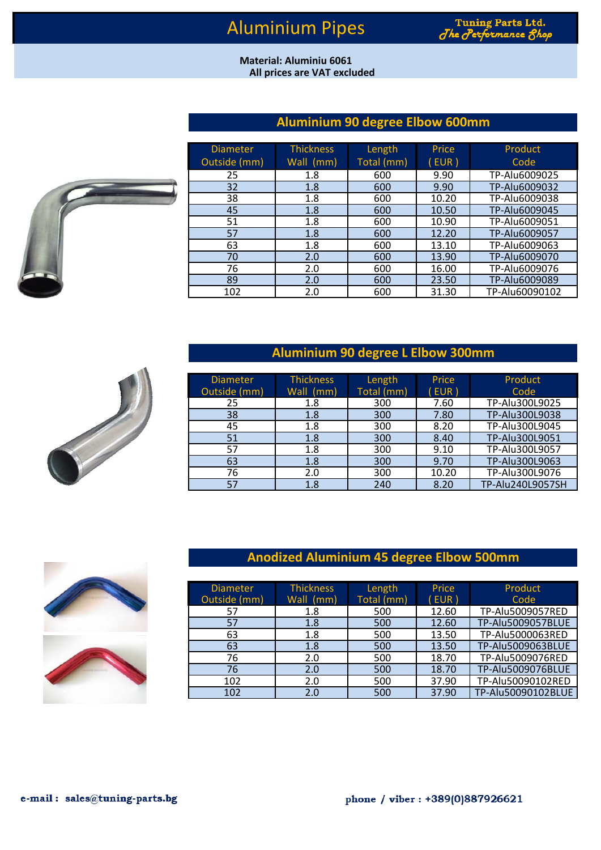#### **All prices are VAT excluded Material: Aluminiu 6061**

## **Aluminium 90 degree Elbow 600mm**



| <b>Diameter</b> | <b>Thickness</b> | Length     | Price | Product        |
|-----------------|------------------|------------|-------|----------------|
| Outside (mm)    | Wall (mm)        | Total (mm) | (EUR) | Code           |
| 25              | 1.8              | 600        | 9.90  | TP-Alu6009025  |
| 32              | 1.8              | 600        | 9.90  | TP-Alu6009032  |
| 38              | 1.8              | 600        | 10.20 | TP-Alu6009038  |
| 45              | 1.8              | 600        | 10.50 | TP-Alu6009045  |
| 51              | 1.8              | 600        | 10.90 | TP-Alu6009051  |
| 57              | 1.8              | 600        | 12.20 | TP-Alu6009057  |
| 63              | 1.8              | 600        | 13.10 | TP-Alu6009063  |
| 70              | 2.0              | 600        | 13.90 | TP-Alu6009070  |
| 76              | 2.0              | 600        | 16.00 | TP-Alu6009076  |
| 89              | 2.0              | 600        | 23.50 | TP-Alu6009089  |
| 102             | 2.0              | 600        | 31.30 | TP-Alu60090102 |

### **Aluminium 90 degree L Elbow 300mm**

| <b>Diameter</b><br>Outside (mm) | <b>Thickness</b><br>Wall (mm) | Length<br>Total $(mm)$ | Price<br>(EUR) | Product<br>Code  |
|---------------------------------|-------------------------------|------------------------|----------------|------------------|
| 25                              | 1.8                           | 300                    | 7.60           | TP-Alu300L9025   |
| 38                              | 1.8                           | 300                    | 7.80           | TP-Alu300L9038   |
| 45                              | 1.8                           | 300                    | 8.20           | TP-Alu300L9045   |
| 51                              | 1.8                           | 300                    | 8.40           | TP-Alu300L9051   |
| 57                              | 1.8                           | 300                    | 9.10           | TP-Alu300L9057   |
| 63                              | 1.8                           | 300                    | 9.70           | TP-Alu300L9063   |
| 76                              | 2.0                           | 300                    | 10.20          | TP-Alu300L9076   |
| 57                              | 1.8                           | 240                    | 8.20           | TP-Alu240L9057SH |

### **Anodized Aluminium 45 degree Elbow 500mm**

| <b>Diameter</b><br>Outside (mm) | <b>Thickness</b><br>Wall $(mm)$ | Length<br>Total (mm) | Price<br>(EUR) | Product<br>Code    |
|---------------------------------|---------------------------------|----------------------|----------------|--------------------|
| 57                              | 1.8                             | 500                  | 12.60          | TP-Alu5009057RED   |
| 57                              | 1.8                             | 500                  | 12.60          | TP-Alu5009057BLUE  |
| 63                              | 1.8                             | 500                  | 13.50          | TP-Alu5000063RED   |
| 63                              | 1.8                             | 500                  | 13.50          | TP-Alu5009063BLUE  |
| 76                              | 2.0                             | 500                  | 18.70          | TP-Alu5009076RED   |
| 76                              | 2.0                             | 500                  | 18.70          | TP-Alu5009076BLUE  |
| 102                             | 2.0                             | 500                  | 37.90          | TP-Alu50090102RED  |
| 102                             | 2.0                             | 500                  | 37.90          | TP-Alu50090102BLUE |





e-mail: sales@tuning-parts.bg